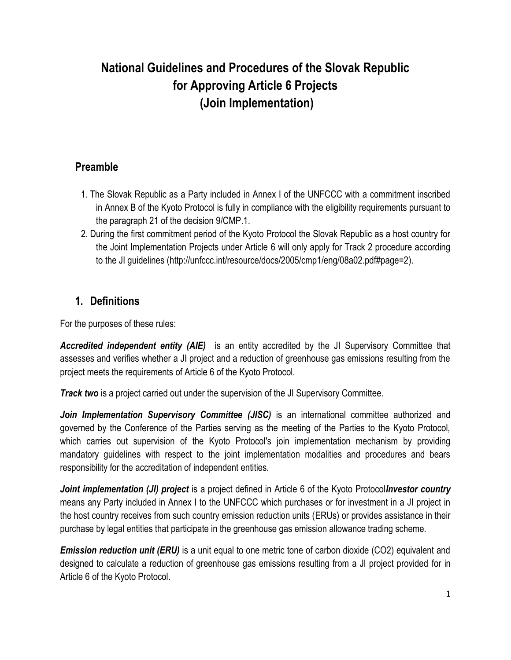# **National Guidelines and Procedures of the Slovak Republic for Approving Article 6 Projects (Join Implementation)**

### **Preamble**

- 1. The Slovak Republic as a Party included in Annex I of the UNFCCC with a commitment inscribed in Annex B of the Kyoto Protocol is fully in compliance with the eligibility requirements pursuant to the paragraph 21 of the decision 9/CMP.1.
- 2. During the first commitment period of the Kyoto Protocol the Slovak Republic as a host country for the Joint Implementation Projects under Article 6 will only apply for Track 2 procedure according to the JI guidelines (http://unfccc.int/resource/docs/2005/cmp1/eng/08a02.pdf#page=2).

#### **1. Definitions**

For the purposes of these rules:

*Accredited independent entity (AIE)* is an entity accredited by the JI Supervisory Committee that assesses and verifies whether a JI project and a reduction of greenhouse gas emissions resulting from the project meets the requirements of Article 6 of the Kyoto Protocol.

*Track two* is a project carried out under the supervision of the JI Supervisory Committee.

*Join Implementation Supervisory Committee (JISC)* is an international committee authorized and governed by the Conference of the Parties serving as the meeting of the Parties to the Kyoto Protocol, which carries out supervision of the Kyoto Protocol's join implementation mechanism by providing mandatory guidelines with respect to the joint implementation modalities and procedures and bears responsibility for the accreditation of independent entities.

*Joint implementation (JI) project* is a project defined in Article 6 of the Kyoto Protocol*Investor country* means any Party included in Annex I to the UNFCCC which purchases or for investment in a JI project in the host country receives from such country emission reduction units (ERUs) or provides assistance in their purchase by legal entities that participate in the greenhouse gas emission allowance trading scheme.

*Emission reduction unit (ERU)* is a unit equal to one metric tone of carbon dioxide (CO2) equivalent and designed to calculate a reduction of greenhouse gas emissions resulting from a JI project provided for in Article 6 of the Kyoto Protocol.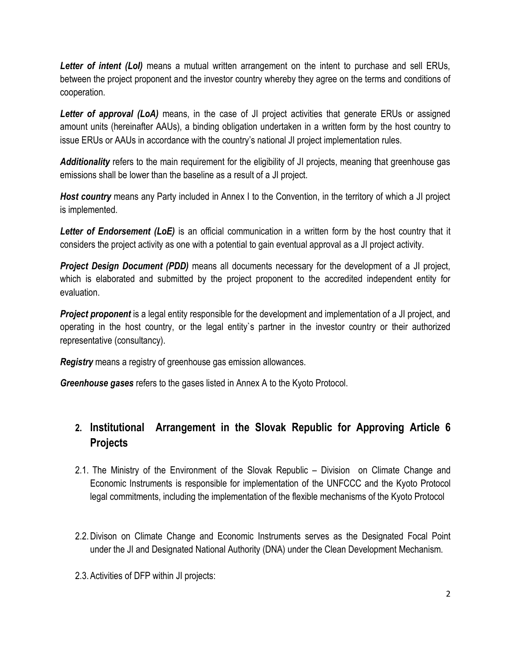**Letter of intent (LoI)** means a mutual written arrangement on the intent to purchase and sell ERUs, between the project proponent and the investor country whereby they agree on the terms and conditions of cooperation.

Letter of approval (LoA) means, in the case of JI project activities that generate ERUs or assigned amount units (hereinafter AAUs), a binding obligation undertaken in a written form by the host country to issue ERUs or AAUs in accordance with the country's national JI project implementation rules.

*Additionality* refers to the main requirement for the eligibility of JI projects, meaning that greenhouse gas emissions shall be lower than the baseline as a result of a JI project.

*Host country* means any Party included in Annex I to the Convention, in the territory of which a JI project is implemented.

*Letter of Endorsement (LoE)* is an official communication in a written form by the host country that it considers the project activity as one with a potential to gain eventual approval as a JI project activity.

**Project Design Document (PDD)** means all documents necessary for the development of a JI project, which is elaborated and submitted by the project proponent to the accredited independent entity for evaluation.

*Project proponent* is a legal entity responsible for the development and implementation of a JI project, and operating in the host country, or the legal entity`s partner in the investor country or their authorized representative (consultancy).

*Registry* means a registry of greenhouse gas emission allowances.

*Greenhouse gases* refers to the gases listed in Annex A to the Kyoto Protocol.

## **2. Institutional Arrangement in the Slovak Republic for Approving Article 6 Projects**

- 2.1. The Ministry of the Environment of the Slovak Republic Division on Climate Change and Economic Instruments is responsible for implementation of the UNFCCC and the Kyoto Protocol legal commitments, including the implementation of the flexible mechanisms of the Kyoto Protocol
- 2.2.Divison on Climate Change and Economic Instruments serves as the Designated Focal Point under the JI and Designated National Authority (DNA) under the Clean Development Mechanism.
- 2.3.Activities of DFP within JI projects: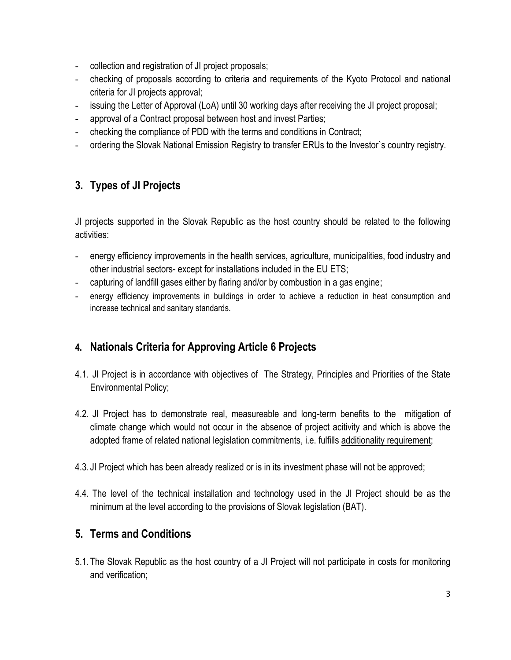- collection and registration of JI project proposals;
- checking of proposals according to criteria and requirements of the Kyoto Protocol and national criteria for JI projects approval;
- issuing the Letter of Approval (LoA) until 30 working days after receiving the JI project proposal;
- approval of a Contract proposal between host and invest Parties;
- checking the compliance of PDD with the terms and conditions in Contract;
- ordering the Slovak National Emission Registry to transfer ERUs to the Investor`s country registry.

## **3. Types of JI Projects**

JI projects supported in the Slovak Republic as the host country should be related to the following activities:

- energy efficiency improvements in the health services, agriculture, municipalities, food industry and other industrial sectors- except for installations included in the EU ETS;
- capturing of landfill gases either by flaring and/or by combustion in a gas engine;
- energy efficiency improvements in buildings in order to achieve a reduction in heat consumption and increase technical and sanitary standards.

## **4. Nationals Criteria for Approving Article 6 Projects**

- 4.1. JI Project is in accordance with objectives of The Strategy, Principles and Priorities of the State Environmental Policy;
- 4.2. JI Project has to demonstrate real, measureable and long-term benefits to the mitigation of climate change which would not occur in the absence of project acitivity and which is above the adopted frame of related national legislation commitments, i.e. fulfills additionality requirement;
- 4.3. JI Project which has been already realized or is in its investment phase will not be approved;
- 4.4. The level of the technical installation and technology used in the JI Project should be as the minimum at the level according to the provisions of Slovak legislation (BAT).

#### **5. Terms and Conditions**

5.1.The Slovak Republic as the host country of a JI Project will not participate in costs for monitoring and verification;